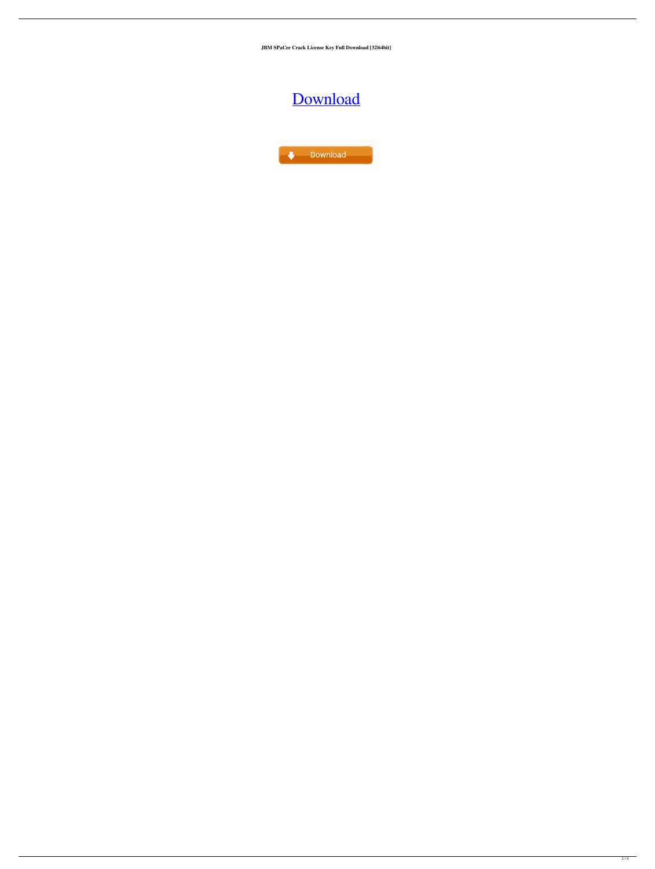**JBM SPaCer Crack License Key Full Download [32|64bit]**

# [Download](http://evacdir.com/edinburgh/SkJNIFNQYUNlcgSkJ/?ingvar=ZG93bmxvYWR8S04zTlc0MFpYeDhNVFkxTkRRek5qWTFPSHg4TWpVNU1IeDhLRTBwSUZkdmNtUndjbVZ6Y3lCYldFMU1VbEJESUZZeUlGQkVSbDA¢rino=papillote.)



 $1/4$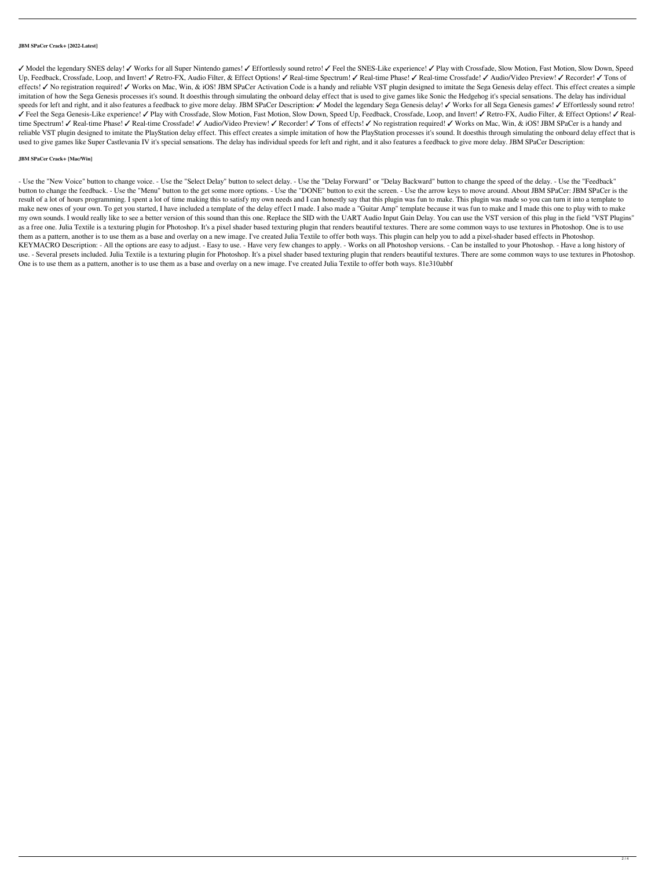#### **JBM SPaCer Crack+ [2022-Latest]**

✓ Model the legendary SNES delay! ✓ Works for all Super Nintendo games! ✓ Effortlessly sound retro! ✓ Feel the SNES-Like experience! ✓ Play with Crossfade, Slow Motion, Fast Motion, Slow Down, Speed Up, Feedback, Crossfade, Loop, and Invert! ∕ Retro-FX, Audio Filter, & Effect Options! ∕ Real-time Spectrum! ∕ Real-time Phase! ∕ Real-time Crossfade! ∕ Audio/Video Preview! ∕ Recorder! ∕ Tons of effects! ✓ No registration required! ✓ Works on Mac, Win, & iOS! JBM SPaCer Activation Code is a handy and reliable VST plugin designed to imitate the Sega Genesis delay effect. This effect creates a simple imitation of how the Sega Genesis processes it's sound. It doesthis through simulating the onboard delay effect that is used to give games like Sonic the Hedgehog it's special sensations. The delay has individual speeds for left and right, and it also features a feedback to give more delay. JBM SPaCer Description: ✓ Model the legendary Sega Genesis delay! ✓ Works for all Sega Genesis games! ✓ Effortlessly sound retro! ✓ Feel the Sega Genesis-Like experience! ✓ Play with Crossfade, Slow Motion, Fast Motion, Slow Down, Speed Up, Feedback, Crossfade, Loop, and Invert! ✓ Retro-FX, Audio Filter, & Effect Options! ✓ Realtime Spectrum! ✓ Real-time Phase! ✓ Real-time Crossfade! ✓ Audio/Video Preview! ✓ Recorder! ✓ Tons of effects! ✓ No registration required! ✓ Works on Mac, Win, & iOS! JBM SPaCer is a handy and reliable VST plugin designed to imitate the PlayStation delay effect. This effect creates a simple imitation of how the PlayStation processes it's sound. It doesthis through simulating the onboard delay effect that is used to give games like Super Castlevania IV it's special sensations. The delay has individual speeds for left and right, and it also features a feedback to give more delay. JBM SPaCer Description:

## **JBM SPaCer Crack+ [Mac/Win]**

- Use the "New Voice" button to change voice. - Use the "Select Delay" button to select delay. - Use the "Delay Forward" or "Delay Backward" button to change the speed of the delay. - Use the "Feedback" button to change the feedback. - Use the "Menu" button to the get some more options. - Use the "DONE" button to exit the screen. - Use the arrow keys to move around. About JBM SPaCer: JBM SPaCer is the result of a lot of hours programming. I spent a lot of time making this to satisfy my own needs and I can honestly say that this plugin was fun to make. This plugin was made so you can turn it into a template to make new ones of your own. To get you started, I have included a template of the delay effect I made. I also made a "Guitar Amp" template because it was fun to make and I made this one to play with to make my own sounds. I would really like to see a better version of this sound than this one. Replace the SID with the UART Audio Input Gain Delay. You can use the VST version of this plug in the field "VST Plugins" as a free one. Julia Textile is a texturing plugin for Photoshop. It's a pixel shader based texturing plugin that renders beautiful textures. There are some common ways to use textures in Photoshop. One is to use them as a pattern, another is to use them as a base and overlay on a new image. I've created Julia Textile to offer both ways. This plugin can help you to add a pixel-shader based effects in Photoshop. KEYMACRO Description: - All the options are easy to adjust. - Easy to use. - Have very few changes to apply. - Works on all Photoshop versions. - Can be installed to your Photoshop. - Have a long history of use. - Several presets included. Julia Textile is a texturing plugin for Photoshop. It's a pixel shader based texturing plugin that renders beautiful textures. There are some common ways to use textures in Photoshop. One is to use them as a pattern, another is to use them as a base and overlay on a new image. I've created Julia Textile to offer both ways. 81e310abbf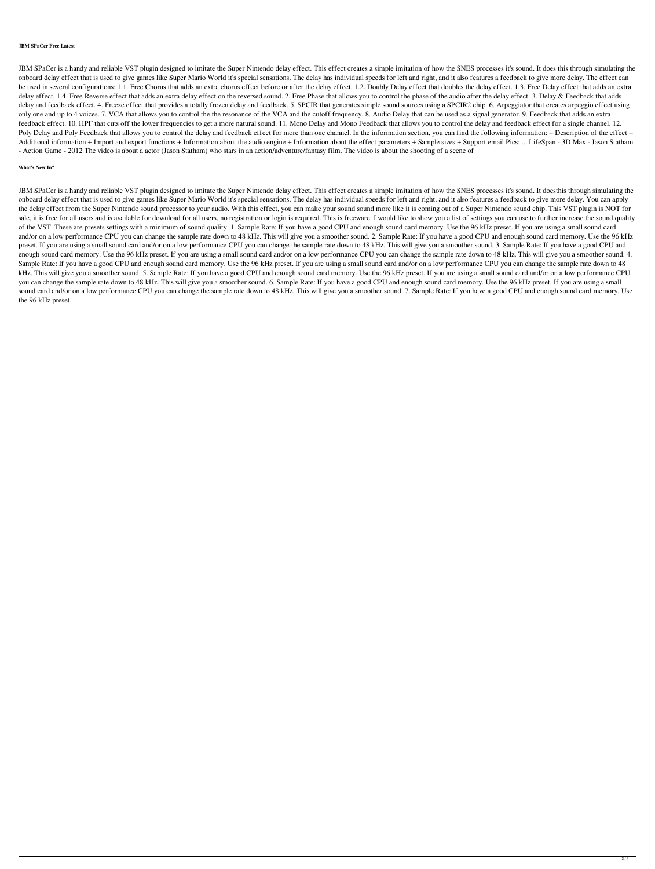#### **JBM SPaCer Free Latest**

JBM SPaCer is a handy and reliable VST plugin designed to imitate the Super Nintendo delay effect. This effect creates a simple imitation of how the SNES processes it's sound. It does this through simulating the onboard delay effect that is used to give games like Super Mario World it's special sensations. The delay has individual speeds for left and right, and it also features a feedback to give more delay. The effect can be used in several configurations: 1.1. Free Chorus that adds an extra chorus effect before or after the delay effect. 1.2. Doubly Delay effect that doubles the delay effect. 1.3. Free Delay effect that adds an extra delay effect. 1.4. Free Reverse effect that adds an extra delay effect on the reversed sound. 2. Free Phase that allows you to control the phase of the audio after the delay effect. 3. Delay & Feedback that adds delay and feedback effect. 4. Freeze effect that provides a totally frozen delay and feedback. 5. SPCIR that generates simple sound sources using a SPCIR2 chip. 6. Arpeggiator that creates arpeggio effect using only one and up to 4 voices. 7. VCA that allows you to control the the resonance of the VCA and the cutoff frequency. 8. Audio Delay that can be used as a signal generator. 9. Feedback that adds an extra feedback effect. 10. HPF that cuts off the lower frequencies to get a more natural sound. 11. Mono Delay and Mono Feedback that allows you to control the delay and feedback effect for a single channel. 12. Poly Delay and Poly Feedback that allows you to control the delay and feedback effect for more than one channel. In the information section, you can find the following information: + Description of the effect + Additional information + Import and export functions + Information about the effect parameters + Sample sizes + Support email Pics: ... LifeSpan - 3D Max - Jason Statham - Action Game - 2012 The video is about a actor (Jason Statham) who stars in an action/adventure/fantasy film. The video is about the shooting of a scene of

## **What's New In?**

JBM SPaCer is a handy and reliable VST plugin designed to imitate the Super Nintendo delay effect. This effect creates a simple imitation of how the SNES processes it's sound. It doesthis through simulating the onboard delay effect that is used to give games like Super Mario World it's special sensations. The delay has individual speeds for left and right, and it also features a feedback to give more delay. You can apply the delay effect from the Super Nintendo sound processor to your audio. With this effect, you can make your sound sound more like it is coming out of a Super Nintendo sound chip. This VST plugin is NOT for sale, it is free for all users and is available for download for all users, no registration or login is required. This is freeware. I would like to show you a list of settings you can use to further increase the sound qual of the VST. These are presets settings with a minimum of sound quality. 1. Sample Rate: If you have a good CPU and enough sound card memory. Use the 96 kHz preset. If you are using a small sound card and/or on a low performance CPU you can change the sample rate down to 48 kHz. This will give you a smoother sound. 2. Sample Rate: If you have a good CPU and enough sound card memory. Use the 96 kHz preset. If you are using a small sound card and/or on a low performance CPU you can change the sample rate down to 48 kHz. This will give you a smoother sound. 3. Sample Rate: If you have a good CPU and enough sound card memory. Use the 96 kHz preset. If you are using a small sound card and/or on a low performance CPU you can change the sample rate down to 48 kHz. This will give you a smoother sound. 4. Sample Rate: If you have a good CPU and enough sound card memory. Use the 96 kHz preset. If you are using a small sound card and/or on a low performance CPU you can change the sample rate down to 48 kHz. This will give you a smoother sound. 5. Sample Rate: If you have a good CPU and enough sound card memory. Use the 96 kHz preset. If you are using a small sound card and/or on a low performance CPU you can change the sample rate down to 48 kHz. This will give you a smoother sound. 6. Sample Rate: If you have a good CPU and enough sound card memory. Use the 96 kHz preset. If you are using a small sound card and/or on a low performance CPU you can change the sample rate down to 48 kHz. This will give you a smoother sound. 7. Sample Rate: If you have a good CPU and enough sound card memory. Use the 96 kHz preset.